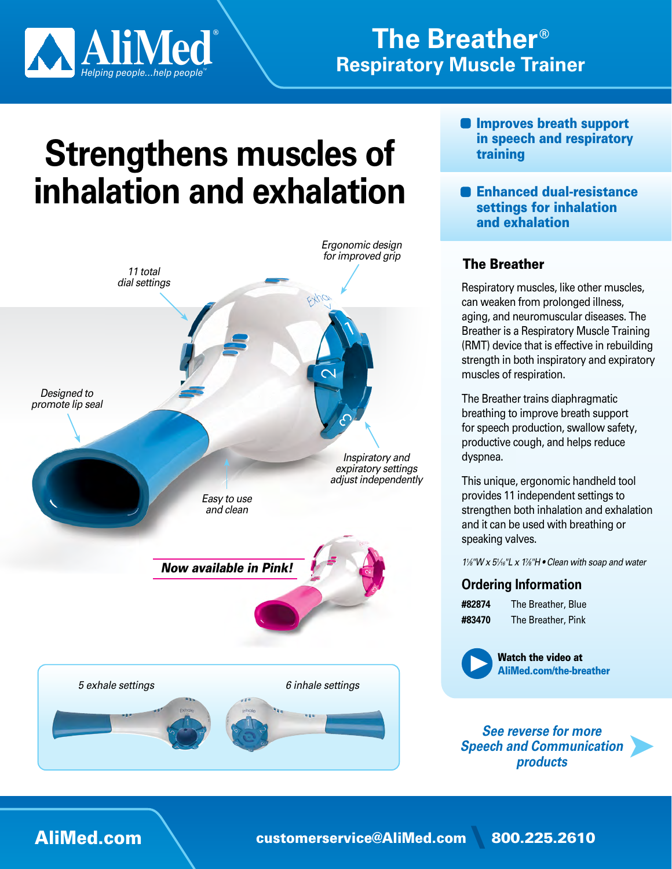

## **The Breather<sup>®</sup> Respiratory Muscle Trainer**

# **Strengthens muscles of** inhalation and exhalation



- **O** Improves breath support in speech and respiratory training
- **Represent and Enhanced dual-resistance** settings for inhalation and exhalation

### **The Breather**

Respiratory muscles, like other muscles, can weaken from prolonged illness, aging, and neuromuscular diseases. The Breather is a Respiratory Muscle Training (RMT) device that is effective in rebuilding strength in both inspiratory and expiratory muscles of respiration.

The Breather trains diaphragmatic breathing to improve breath support for speech production, swallow safety, productive cough, and helps reduce .dyspnea

This unique, ergonomic handheld tool provides 11 independent settings to strengthen both inhalation and exhalation and it can be used with breathing or speaking valves.

 $1\frac{1}{8}$ "*W x 5<sup>1</sup>/<sub>16</sub>*"*L x 1<sup>7</sup>/<sub>8</sub>*"*H* • Clean with soap and water

#### **Ordering Information**

| #82874 | The Breather, Blue |
|--------|--------------------|
| #83470 | The Breather, Pink |



**Watch the video at** AliMed.com/the-breather

*See reverse for more Speech and Communication products*

➤

AliMed.com [\](mailto:customerservice%40alimed.com?subject=) customerservice@AliMed.com 800.225.2610